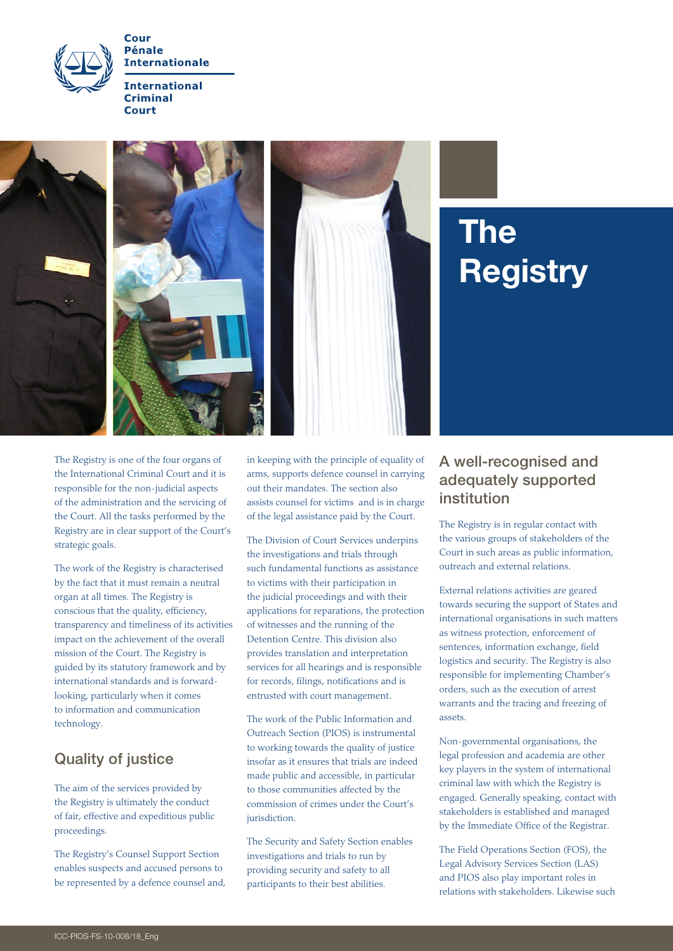

**Pénale Internationale** 

**International Criminal** Court



# **Registry**

The Registry is one of the four organs of the International Criminal Court and it is responsible for the non-judicial aspects of the administration and the servicing of the Court. All the tasks performed by the Registry are in clear support of the Court's strategic goals.

The work of the Registry is characterised by the fact that it must remain a neutral organ at all times. The Registry is conscious that the quality, efficiency, transparency and timeliness of its activities impact on the achievement of the overall mission of the Court. The Registry is guided by its statutory framework and by international standards and is forwardlooking, particularly when it comes to information and communication technology.

# Quality of justice

The aim of the services provided by the Registry is ultimately the conduct of fair, effective and expeditious public proceedings.

The Registry's Counsel Support Section enables suspects and accused persons to be represented by a defence counsel and, in keeping with the principle of equality of arms, supports defence counsel in carrying out their mandates. The section also assists counsel for victims and is in charge of the legal assistance paid by the Court.

The Division of Court Services underpins the investigations and trials through such fundamental functions as assistance to victims with their participation in the judicial proceedings and with their applications for reparations, the protection of witnesses and the running of the Detention Centre. This division also provides translation and interpretation services for all hearings and is responsible for records, filings, notifications and is entrusted with court management.

The work of the Public Information and Outreach Section (PIOS) is instrumental to working towards the quality of justice insofar as it ensures that trials are indeed made public and accessible, in particular to those communities affected by the commission of crimes under the Court's jurisdiction.

The Security and Safety Section enables investigations and trials to run by providing security and safety to all participants to their best abilities.

### A well-recognised and adequately supported institution

The Registry is in regular contact with the various groups of stakeholders of the Court in such areas as public information, outreach and external relations.

External relations activities are geared towards securing the support of States and international organisations in such matters as witness protection, enforcement of sentences, information exchange, field logistics and security. The Registry is also responsible for implementing Chamber's orders, such as the execution of arrest warrants and the tracing and freezing of assets.

Non-governmental organisations, the legal profession and academia are other key players in the system of international criminal law with which the Registry is engaged. Generally speaking, contact with stakeholders is established and managed by the Immediate Office of the Registrar.

The Field Operations Section (FOS), the Legal Advisory Services Section (LAS) and PIOS also play important roles in relations with stakeholders. Likewise such